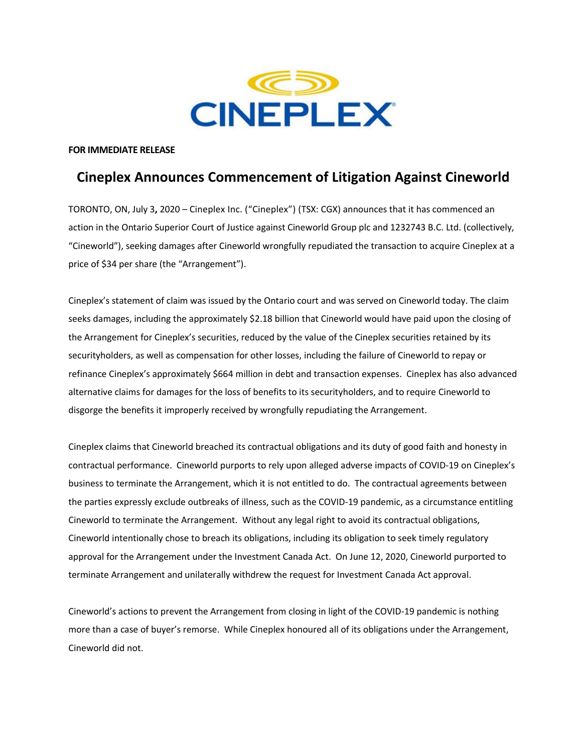

### **FOR IMMEDIATE RELEASE**

# **Cineplex Announces Commencement of Litigation Against Cineworld**

TORONTO, ON, July 3**,** 2020 – Cineplex Inc. ("Cineplex") (TSX: CGX) announces that it has commenced an action in the Ontario Superior Court of Justice against Cineworld Group plc and 1232743 B.C. Ltd. (collectively, "Cineworld"), seeking damages after Cineworld wrongfully repudiated the transaction to acquire Cineplex at a price of \$34 per share (the "Arrangement").

Cineplex's statement of claim was issued by the Ontario court and was served on Cineworld today. The claim seeks damages, including the approximately \$2.18 billion that Cineworld would have paid upon the closing of the Arrangement for Cineplex's securities, reduced by the value of the Cineplex securities retained by its securityholders, as well as compensation for other losses, including the failure of Cineworld to repay or refinance Cineplex's approximately \$664 million in debt and transaction expenses. Cineplex has also advanced alternative claims for damages for the loss of benefits to its securityholders, and to require Cineworld to disgorge the benefits it improperly received by wrongfully repudiating the Arrangement.

Cineplex claims that Cineworld breached its contractual obligations and its duty of good faith and honesty in contractual performance. Cineworld purports to rely upon alleged adverse impacts of COVID-19 on Cineplex's business to terminate the Arrangement, which it is not entitled to do. The contractual agreements between the parties expressly exclude outbreaks of illness, such as the COVID-19 pandemic, as a circumstance entitling Cineworld to terminate the Arrangement. Without any legal right to avoid its contractual obligations, Cineworld intentionally chose to breach its obligations, including its obligation to seek timely regulatory approval for the Arrangement under the Investment Canada Act. On June 12, 2020, Cineworld purported to terminate Arrangement and unilaterally withdrew the request for Investment Canada Act approval.

Cineworld's actions to prevent the Arrangement from closing in light of the COVID-19 pandemic is nothing more than a case of buyer's remorse. While Cineplex honoured all of its obligations under the Arrangement, Cineworld did not.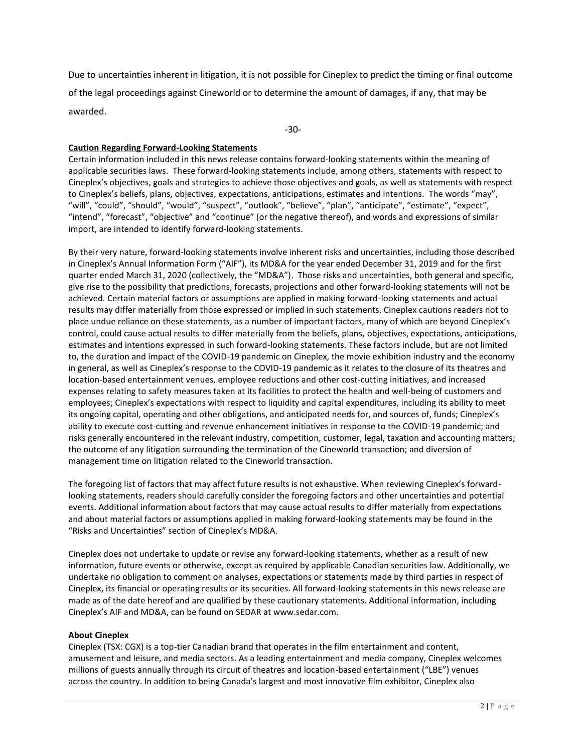Due to uncertainties inherent in litigation, it is not possible for Cineplex to predict the timing or final outcome of the legal proceedings against Cineworld or to determine the amount of damages, if any, that may be awarded.

-30-

## **Caution Regarding Forward-Looking Statements**

Certain information included in this news release contains forward-looking statements within the meaning of applicable securities laws. These forward-looking statements include, among others, statements with respect to Cineplex's objectives, goals and strategies to achieve those objectives and goals, as well as statements with respect to Cineplex's beliefs, plans, objectives, expectations, anticipations, estimates and intentions. The words "may", "will", "could", "should", "would", "suspect", "outlook", "believe", "plan", "anticipate", "estimate", "expect", "intend", "forecast", "objective" and "continue" (or the negative thereof), and words and expressions of similar import, are intended to identify forward-looking statements.

By their very nature, forward-looking statements involve inherent risks and uncertainties, including those described in Cineplex's Annual Information Form ("AIF"), its MD&A for the year ended December 31, 2019 and for the first quarter ended March 31, 2020 (collectively, the "MD&A"). Those risks and uncertainties, both general and specific, give rise to the possibility that predictions, forecasts, projections and other forward-looking statements will not be achieved. Certain material factors or assumptions are applied in making forward-looking statements and actual results may differ materially from those expressed or implied in such statements. Cineplex cautions readers not to place undue reliance on these statements, as a number of important factors, many of which are beyond Cineplex's control, could cause actual results to differ materially from the beliefs, plans, objectives, expectations, anticipations, estimates and intentions expressed in such forward-looking statements. These factors include, but are not limited to, the duration and impact of the COVID-19 pandemic on Cineplex, the movie exhibition industry and the economy in general, as well as Cineplex's response to the COVID-19 pandemic as it relates to the closure of its theatres and location-based entertainment venues, employee reductions and other cost-cutting initiatives, and increased expenses relating to safety measures taken at its facilities to protect the health and well-being of customers and employees; Cineplex's expectations with respect to liquidity and capital expenditures, including its ability to meet its ongoing capital, operating and other obligations, and anticipated needs for, and sources of, funds; Cineplex's ability to execute cost-cutting and revenue enhancement initiatives in response to the COVID-19 pandemic; and risks generally encountered in the relevant industry, competition, customer, legal, taxation and accounting matters; the outcome of any litigation surrounding the termination of the Cineworld transaction; and diversion of management time on litigation related to the Cineworld transaction.

The foregoing list of factors that may affect future results is not exhaustive. When reviewing Cineplex's forwardlooking statements, readers should carefully consider the foregoing factors and other uncertainties and potential events. Additional information about factors that may cause actual results to differ materially from expectations and about material factors or assumptions applied in making forward-looking statements may be found in the "Risks and Uncertainties" section of Cineplex's MD&A.

Cineplex does not undertake to update or revise any forward-looking statements, whether as a result of new information, future events or otherwise, except as required by applicable Canadian securities law. Additionally, we undertake no obligation to comment on analyses, expectations or statements made by third parties in respect of Cineplex, its financial or operating results or its securities. All forward-looking statements in this news release are made as of the date hereof and are qualified by these cautionary statements. Additional information, including Cineplex's AIF and MD&A, can be found on SEDAR at www.sedar.com.

## **About Cineplex**

Cineplex (TSX: CGX) is a top-tier Canadian brand that operates in the film entertainment and content, amusement and leisure, and media sectors. As a leading entertainment and media company, Cineplex welcomes millions of guests annually through its circuit of theatres and location-based entertainment ("LBE") venues across the country. In addition to being Canada's largest and most innovative film exhibitor, Cineplex also